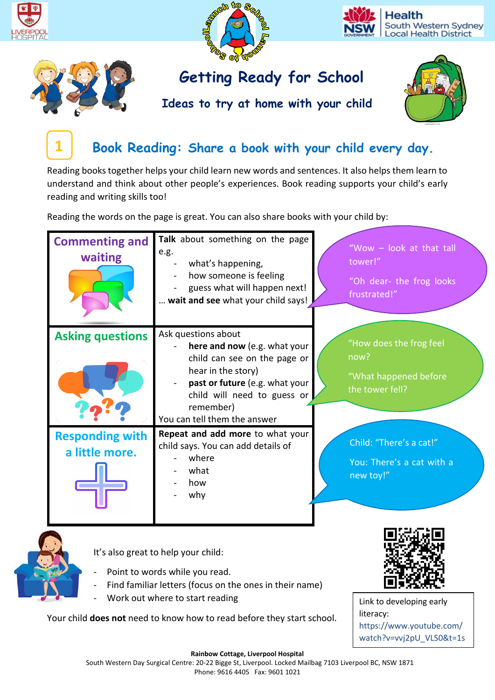

**Ideas to try at home with your child**



# **Book Reading: Share a book with your child every day.**

Reading books together helps your child learn new words and sentences. It also helps them learn to understand and think about other people's experiences. Book reading supports your child's early reading and writing skills too!

Reading the words on the page is great. You can also share books with your child by:

| <b>Commenting and</b><br>waiting         | Talk about something on the page<br>e.g.<br>what's happening,<br>how someone is feeling<br>guess what will happen next!<br>wait and see what your child says!                                                           | "Wow - look at that tall<br>tower!"<br>"Oh dear- the frog looks<br>frustrated!" |
|------------------------------------------|-------------------------------------------------------------------------------------------------------------------------------------------------------------------------------------------------------------------------|---------------------------------------------------------------------------------|
| <b>Asking questions</b>                  | Ask questions about<br>here and now (e.g. what your<br>child can see on the page or<br>hear in the story)<br>past or future (e.g. what your<br>child will need to guess or<br>remember)<br>You can tell them the answer | "How does the frog feel<br>now?<br>"What happened before<br>the tower fell?     |
| <b>Responding with</b><br>a little more. | Repeat and add more to what your<br>child says. You can add details of<br>where<br>what<br>how<br>why                                                                                                                   | Child: "There's a cat!"<br>You: There's a cat with a<br>new toy!"               |



**1**

It's also great to help your child:

- Point to words while you read.
- Find familiar letters (focus on the ones in their name)
- Work out where to start reading

Your child **does not** need to know how to read before they start school.



Link to developing early literacy: https://www.youtube.com/ watch?v=vvj2pU\_VLS0&t=1s

**Rainbow Cottage, Liverpool Hospital** South Western Day Surgical Centre: 20-22 Bigge St, Liverpool. Locked Mailbag 7103 Liverpool BC, NSW 1871 Phone: 9616 4405 Fax: 9601 1021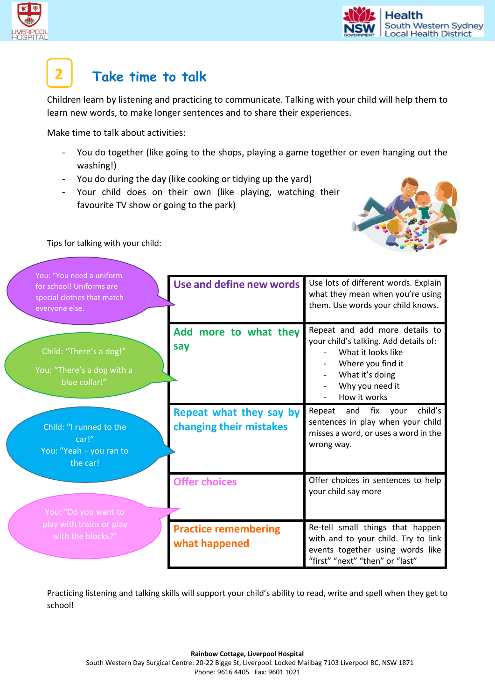

### **Take time to talk 2**

Children learn by listening and practicing to communicate. Talking with your child will help them to learn new words, to make longer sentences and to share their experiences.

Make time to talk about activities:

- You do together (like going to the shops, playing a game together or even hanging out the washing!)
- You do during the day (like cooking or tidying up the yard)
- Your child does on their own (like playing, watching their favourite TV show or going to the park)



### Tips for talking with your child:

| You: "You need a uniform                                                 |                                                    |                                                                                                                                                                          |
|--------------------------------------------------------------------------|----------------------------------------------------|--------------------------------------------------------------------------------------------------------------------------------------------------------------------------|
| for school! Uniforms are<br>special clothes that match<br>evervone else. | Use and define new words                           | Use lots of different words. Explain<br>what they mean when you're using<br>them. Use words your child knows.                                                            |
| Child: "There's a dog!"<br>You: "There's a dog with a<br>blue collar!"   | Add more to what they<br>say                       | Repeat and add more details to<br>your child's talking. Add details of:<br>What it looks like<br>Where you find it<br>What it's doing<br>Why you need it<br>How it works |
| Child: "I runned to the<br>car!"<br>You: "Yeah - you ran to<br>the car!  | Repeat what they say by<br>changing their mistakes | child's<br>Repeat and<br>fix your<br>sentences in play when your child<br>misses a word, or uses a word in the<br>wrong way.                                             |
| You: "Do you want to                                                     | <b>Offer choices</b>                               | Offer choices in sentences to help<br>your child say more                                                                                                                |
| play with trains or play<br>with the blocks?"                            | <b>Practice remembering</b><br>what happened       | Re-tell small things that happen<br>with and to your child. Try to link<br>events together using words like<br>"first" "next" "then" or "last"                           |

Practicing listening and talking skills will support your child's ability to read, write and spell when they get to school!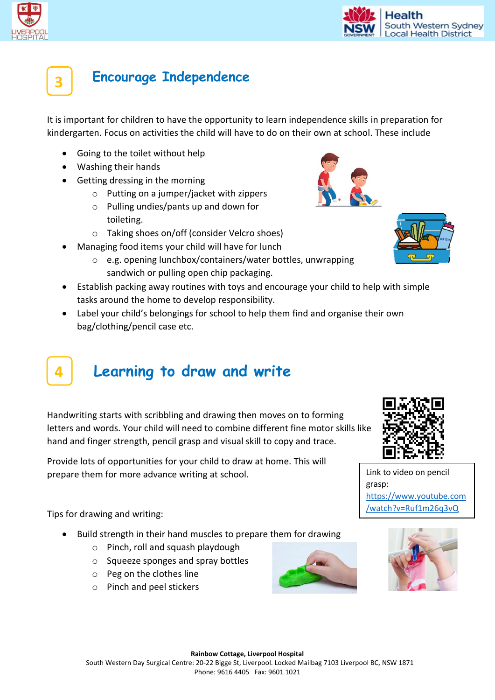



### **Encourage Independence**

It is important for children to have the opportunity to learn independence skills in preparation for kindergarten. Focus on activities the child will have to do on their own at school. These include

- Going to the toilet without help
- Washing their hands
- Getting dressing in the morning
	- o Putting on a jumper/jacket with zippers
	- o Pulling undies/pants up and down for toileting.
	- o Taking shoes on/off (consider Velcro shoes)
- Managing food items your child will have for lunch
	- o e.g. opening lunchbox/containers/water bottles, unwrapping sandwich or pulling open chip packaging.
- Establish packing away routines with toys and encourage your child to help with simple tasks around the home to develop responsibility.
- Label your child's belongings for school to help them find and organise their own bag/clothing/pencil case etc.

### **Learning to draw and write 4**

Handwriting starts with scribbling and drawing then moves on to forming letters and words. Your child will need to combine different fine motor skills like hand and finger strength, pencil grasp and visual skill to copy and trace.

Provide lots of opportunities for your child to draw at home. This will prepare them for more advance writing at school.

Tips for drawing and writing:

- Build strength in their hand muscles to prepare them for drawing
	- o Pinch, roll and squash playdough
	- o Squeeze sponges and spray bottles
	- o Peg on the clothes line
	- o Pinch and peel stickers





[https://www.youtube.com](https://www.youtube.com/watch?v=Ruf1m26q3vQ) [/watch?v=Ruf1m26q3vQ](https://www.youtube.com/watch?v=Ruf1m26q3vQ)

grasp: